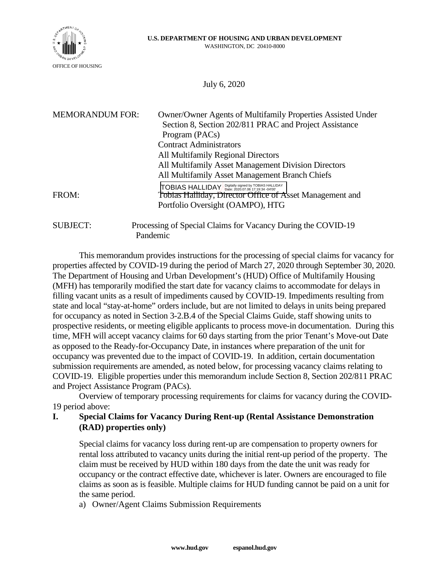

July 6, 2020

| <b>MEMORANDUM FOR:</b> | Owner/Owner Agents of Multifamily Properties Assisted Under<br>Section 8, Section 202/811 PRAC and Project Assistance  |
|------------------------|------------------------------------------------------------------------------------------------------------------------|
|                        | Program (PACs)                                                                                                         |
|                        | <b>Contract Administrators</b>                                                                                         |
|                        | All Multifamily Regional Directors                                                                                     |
|                        | All Multifamily Asset Management Division Directors                                                                    |
|                        | All Multifamily Asset Management Branch Chiefs                                                                         |
| FROM:                  | TOBIAS HALLIDAY Digitally signed by TOBIAS HALLIDAY<br><b>Tobias Halliday, Director Office of Asset Management and</b> |
|                        | Portfolio Oversight (OAMPO), HTG                                                                                       |
| <b>SUBJECT:</b>        | Processing of Special Claims for Vacancy During the COVID-19<br>Pandemic                                               |

This memorandum provides instructions for the processing of special claims for vacancy for properties affected by COVID-19 during the period of March 27, 2020 through September 30, 2020. The Department of Housing and Urban Development's (HUD) Office of Multifamily Housing (MFH) has temporarily modified the start date for vacancy claims to accommodate for delays in filling vacant units as a result of impediments caused by COVID-19. Impediments resulting from state and local "stay-at-home" orders include, but are not limited to delays in units being prepared for occupancy as noted in Section 3-2.B.4 of the Special Claims Guide, staff showing units to prospective residents, or meeting eligible applicants to process move-in documentation. During this time, MFH will accept vacancy claims for 60 days starting from the prior Tenant's Move-out Date as opposed to the Ready-for-Occupancy Date, in instances where preparation of the unit for occupancy was prevented due to the impact of COVID-19. In addition, certain documentation submission requirements are amended, as noted below, for processing vacancy claims relating to COVID-19. Eligible properties under this memorandum include Section 8, Section 202/811 PRAC and Project Assistance Program (PACs).

Overview of temporary processing requirements for claims for vacancy during the COVID-19 period above:

## **I. Special Claims for Vacancy During Rent-up (Rental Assistance Demonstration (RAD) properties only)**

Special claims for vacancy loss during rent-up are compensation to property owners for rental loss attributed to vacancy units during the initial rent-up period of the property. The claim must be received by HUD within 180 days from the date the unit was ready for occupancy or the contract effective date, whichever is later. Owners are encouraged to file claims as soon as is feasible. Multiple claims for HUD funding cannot be paid on a unit for the same period.

a) Owner/Agent Claims Submission Requirements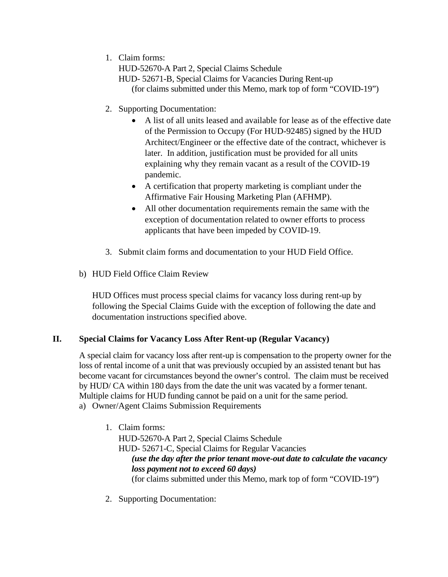1. Claim forms:

HUD-52670-A Part 2, Special Claims Schedule

- HUD- 52671-B, Special Claims for Vacancies During Rent-up (for claims submitted under this Memo, mark top of form "COVID-19")
- 2. Supporting Documentation:
	- A list of all units leased and available for lease as of the effective date of the Permission to Occupy (For HUD-92485) signed by the HUD Architect/Engineer or the effective date of the contract, whichever is later. In addition, justification must be provided for all units explaining why they remain vacant as a result of the COVID-19 pandemic.
	- A certification that property marketing is compliant under the Affirmative Fair Housing Marketing Plan (AFHMP).
	- All other documentation requirements remain the same with the exception of documentation related to owner efforts to process applicants that have been impeded by COVID-19.
- 3. Submit claim forms and documentation to your HUD Field Office.
- b) HUD Field Office Claim Review

HUD Offices must process special claims for vacancy loss during rent-up by following the Special Claims Guide with the exception of following the date and documentation instructions specified above.

## **II. Special Claims for Vacancy Loss After Rent-up (Regular Vacancy)**

A special claim for vacancy loss after rent-up is compensation to the property owner for the loss of rental income of a unit that was previously occupied by an assisted tenant but has become vacant for circumstances beyond the owner's control. The claim must be received by HUD/ CA within 180 days from the date the unit was vacated by a former tenant. Multiple claims for HUD funding cannot be paid on a unit for the same period. a) Owner/Agent Claims Submission Requirements

- 1. Claim forms: HUD-52670-A Part 2, Special Claims Schedule HUD- 52671-C, Special Claims for Regular Vacancies *(use the day after the prior tenant move-out date to calculate the vacancy loss payment not to exceed 60 days)*  (for claims submitted under this Memo, mark top of form "COVID-19")
- 2. Supporting Documentation: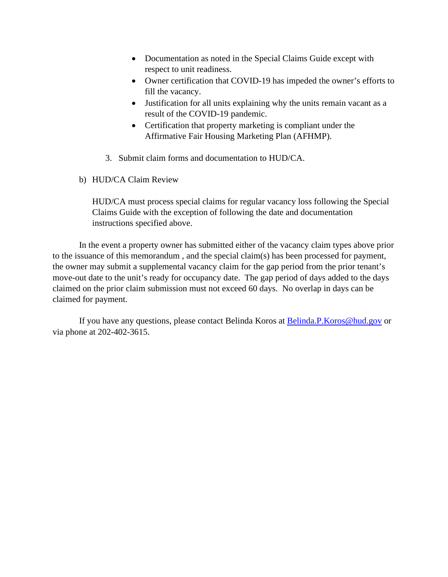- Documentation as noted in the Special Claims Guide except with respect to unit readiness.
- Owner certification that COVID-19 has impeded the owner's efforts to fill the vacancy.
- Justification for all units explaining why the units remain vacant as a result of the COVID-19 pandemic.
- Certification that property marketing is compliant under the Affirmative Fair Housing Marketing Plan (AFHMP).
- 3. Submit claim forms and documentation to HUD/CA.
- b) HUD/CA Claim Review

HUD/CA must process special claims for regular vacancy loss following the Special Claims Guide with the exception of following the date and documentation instructions specified above.

In the event a property owner has submitted either of the vacancy claim types above prior to the issuance of this memorandum , and the special claim(s) has been processed for payment, the owner may submit a supplemental vacancy claim for the gap period from the prior tenant's move-out date to the unit's ready for occupancy date. The gap period of days added to the days claimed on the prior claim submission must not exceed 60 days. No overlap in days can be claimed for payment.

If you have any questions, please contact Belinda Koros at [Belinda.P.Koros@hud.gov](mailto:Belinda.P.Koros@hud.gov) or via phone at 202-402-3615.